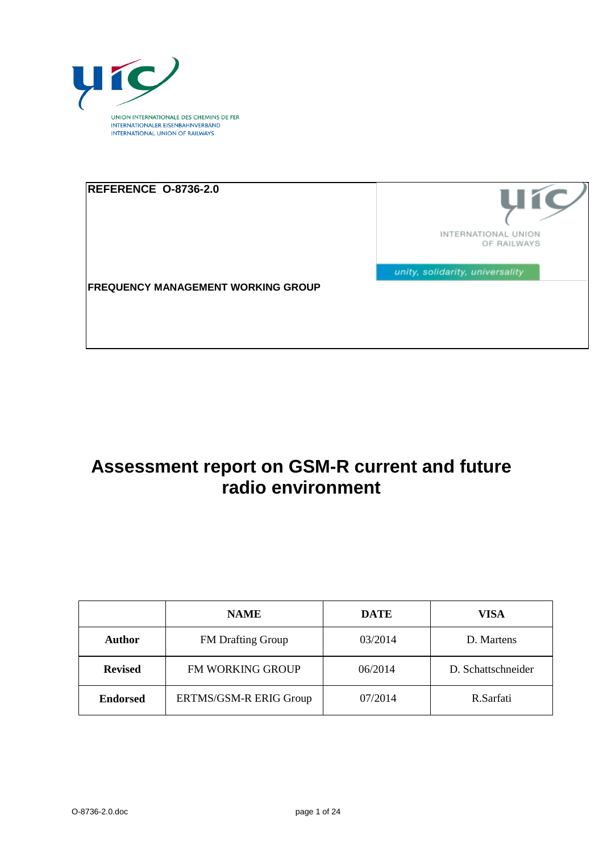

| REFERENCE O-8736-2.0                      |                                    |
|-------------------------------------------|------------------------------------|
|                                           | INTERNATIONAL UNION<br>OF RAILWAYS |
| <b>FREQUENCY MANAGEMENT WORKING GROUP</b> | unity, solidarity, universality    |
|                                           |                                    |

# **Assessment report on GSM-R current and future radio environment**

|                 | <b>NAME</b>              | <b>DATE</b> | VISA               |
|-----------------|--------------------------|-------------|--------------------|
| Author          | <b>FM</b> Drafting Group | 03/2014     | D. Martens         |
| <b>Revised</b>  | FM WORKING GROUP         | 06/2014     | D. Schattschneider |
| <b>Endorsed</b> | ERTMS/GSM-R ERIG Group   | 07/2014     | R.Sarfati          |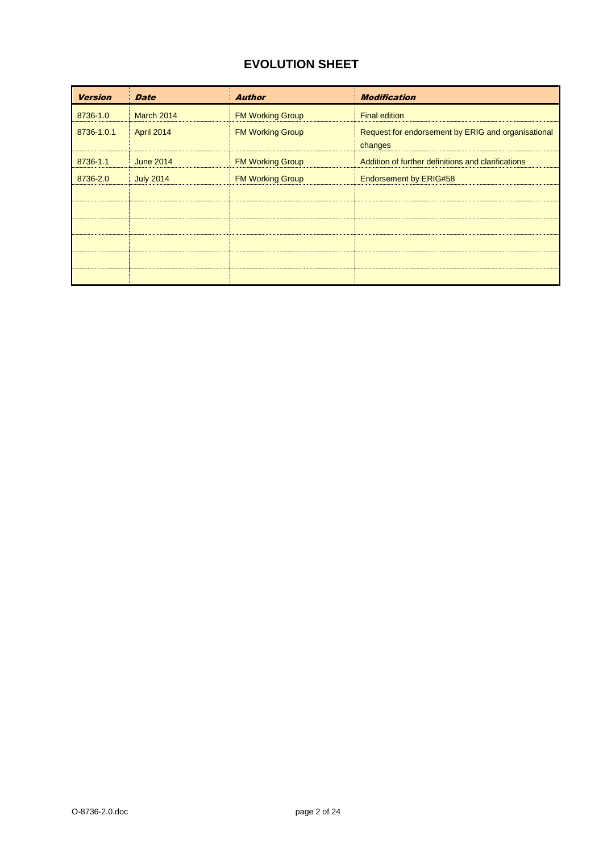# **EVOLUTION SHEET**

| <b>Version</b> | <b>Date</b>      | <b>Author</b>           | <b>Modification</b>                                           |
|----------------|------------------|-------------------------|---------------------------------------------------------------|
| 8736-1.0       | March 2014       | <b>FM Working Group</b> | <b>Final edition</b>                                          |
| 8736-1.0.1     | April 2014       | <b>FM Working Group</b> | Request for endorsement by ERIG and organisational<br>changes |
| 8736-1.1       | <b>June 2014</b> | <b>FM Working Group</b> | Addition of further definitions and clarifications            |
| 8736-2.0       | <b>July 2014</b> | <b>FM Working Group</b> | <b>Endorsement by ERIG#58</b>                                 |
|                |                  |                         |                                                               |
|                |                  |                         |                                                               |
|                |                  |                         |                                                               |
|                |                  |                         |                                                               |
|                |                  |                         |                                                               |
|                |                  |                         |                                                               |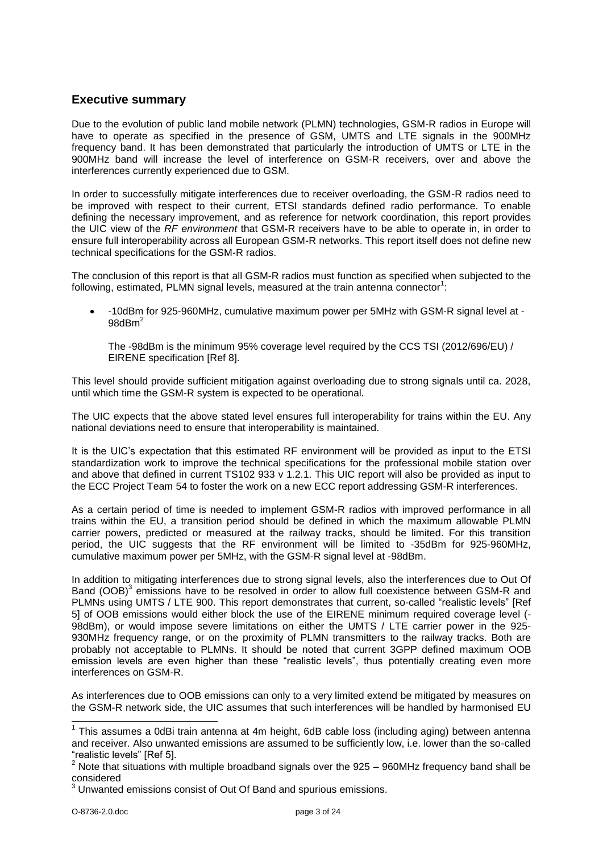### <span id="page-2-0"></span>**Executive summary**

Due to the evolution of public land mobile network (PLMN) technologies, GSM-R radios in Europe will have to operate as specified in the presence of GSM, UMTS and LTE signals in the 900MHz frequency band. It has been demonstrated that particularly the introduction of UMTS or LTE in the 900MHz band will increase the level of interference on GSM-R receivers, over and above the interferences currently experienced due to GSM.

In order to successfully mitigate interferences due to receiver overloading, the GSM-R radios need to be improved with respect to their current, ETSI standards defined radio performance. To enable defining the necessary improvement, and as reference for network coordination, this report provides the UIC view of the *RF environment* that GSM-R receivers have to be able to operate in, in order to ensure full interoperability across all European GSM-R networks. This report itself does not define new technical specifications for the GSM-R radios.

The conclusion of this report is that all GSM-R radios must function as specified when subjected to the following, estimated, PLMN signal levels, measured at the train antenna connector<sup>1</sup>:

 -10dBm for 925-960MHz, cumulative maximum power per 5MHz with GSM-R signal level at - 98 $dBm<sup>2</sup>$ 

The -98dBm is the minimum 95% coverage level required by the CCS TSI (2012/696/EU) / EIRENE specification [Ref 8].

This level should provide sufficient mitigation against overloading due to strong signals until ca. 2028, until which time the GSM-R system is expected to be operational.

The UIC expects that the above stated level ensures full interoperability for trains within the EU. Any national deviations need to ensure that interoperability is maintained.

It is the UIC's expectation that this estimated RF environment will be provided as input to the ETSI standardization work to improve the technical specifications for the professional mobile station over and above that defined in current TS102 933 v 1.2.1. This UIC report will also be provided as input to the ECC Project Team 54 to foster the work on a new ECC report addressing GSM-R interferences.

As a certain period of time is needed to implement GSM-R radios with improved performance in all trains within the EU, a transition period should be defined in which the maximum allowable PLMN carrier powers, predicted or measured at the railway tracks, should be limited. For this transition period, the UIC suggests that the RF environment will be limited to -35dBm for 925-960MHz, cumulative maximum power per 5MHz, with the GSM-R signal level at -98dBm.

In addition to mitigating interferences due to strong signal levels, also the interferences due to Out Of Band (OOB)<sup>3</sup> emissions have to be resolved in order to allow full coexistence between GSM-R and PLMNs using UMTS / LTE 900. This report demonstrates that current, so-called "realistic levels" [Ref 5] of OOB emissions would either block the use of the EIRENE minimum required coverage level (- 98dBm), or would impose severe limitations on either the UMTS / LTE carrier power in the 925- 930MHz frequency range, or on the proximity of PLMN transmitters to the railway tracks. Both are probably not acceptable to PLMNs. It should be noted that current 3GPP defined maximum OOB emission levels are even higher than these "realistic levels", thus potentially creating even more interferences on GSM-R.

As interferences due to OOB emissions can only to a very limited extend be mitigated by measures on the GSM-R network side, the UIC assumes that such interferences will be handled by harmonised EU

 $\overline{\phantom{a}}$ 

<sup>&</sup>lt;sup>1</sup> This assumes a 0dBi train antenna at 4m height, 6dB cable loss (including aging) between antenna and receiver. Also unwanted emissions are assumed to be sufficiently low, i.e. lower than the so-called "realistic levels" [Ref 5].

<sup>2</sup> Note that situations with multiple broadband signals over the 925 – 960MHz frequency band shall be considered

 $3$  Unwanted emissions consist of Out Of Band and spurious emissions.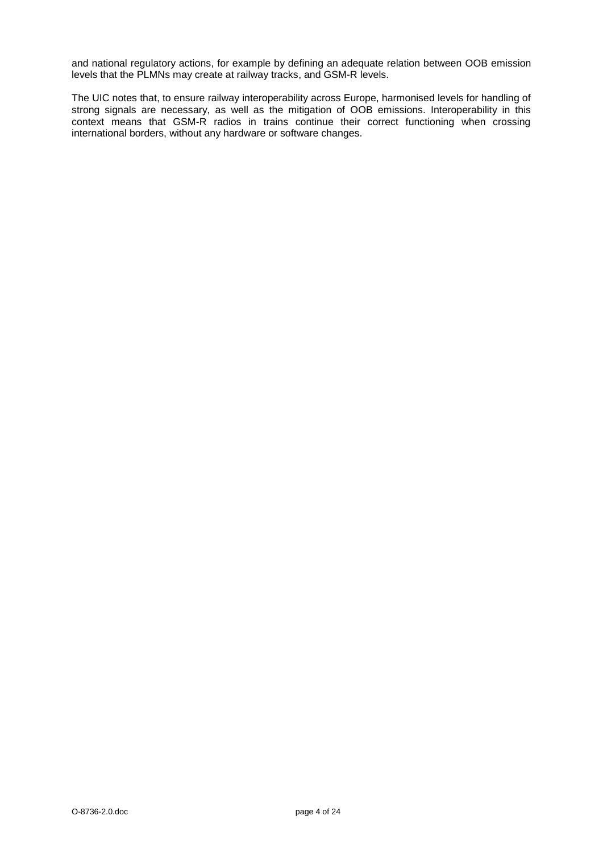and national regulatory actions, for example by defining an adequate relation between OOB emission levels that the PLMNs may create at railway tracks, and GSM-R levels.

The UIC notes that, to ensure railway interoperability across Europe, harmonised levels for handling of strong signals are necessary, as well as the mitigation of OOB emissions. Interoperability in this context means that GSM-R radios in trains continue their correct functioning when crossing international borders, without any hardware or software changes.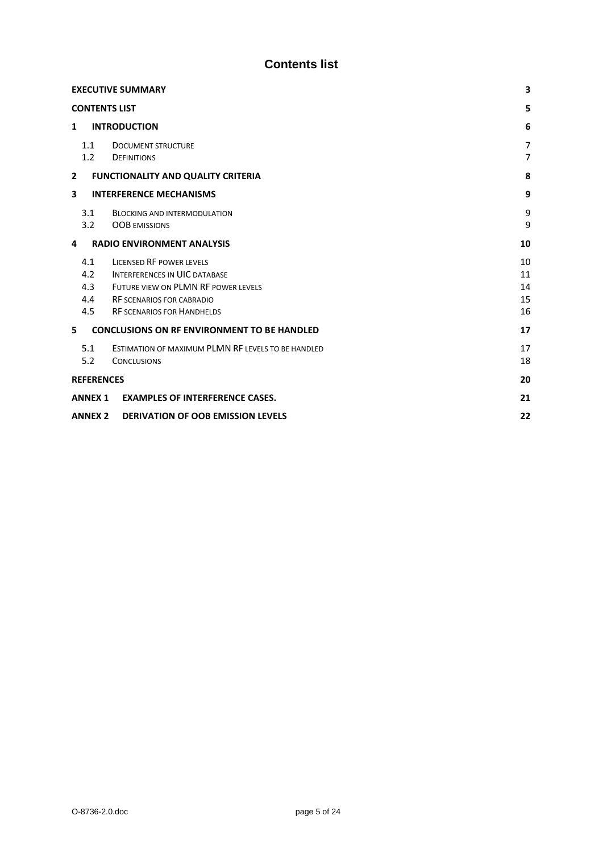# **Contents list**

<span id="page-4-0"></span>

| <b>EXECUTIVE SUMMARY</b>                                                                                                                                                                                            |                            |  |  |  |  |  |
|---------------------------------------------------------------------------------------------------------------------------------------------------------------------------------------------------------------------|----------------------------|--|--|--|--|--|
| <b>CONTENTS LIST</b>                                                                                                                                                                                                |                            |  |  |  |  |  |
| <b>INTRODUCTION</b><br>1                                                                                                                                                                                            | 6                          |  |  |  |  |  |
| 1.1<br><b>DOCUMENT STRUCTURE</b><br>1.2<br><b>DEFINITIONS</b>                                                                                                                                                       |                            |  |  |  |  |  |
| $\overline{2}$<br><b>FUNCTIONALITY AND QUALITY CRITERIA</b>                                                                                                                                                         | 8                          |  |  |  |  |  |
| 3<br><b>INTERFERENCE MECHANISMS</b>                                                                                                                                                                                 | 9                          |  |  |  |  |  |
| 3.1<br><b>BLOCKING AND INTERMODULATION</b><br>3.2<br><b>OOB EMISSIONS</b>                                                                                                                                           | 9<br>9                     |  |  |  |  |  |
| <b>RADIO ENVIRONMENT ANALYSIS</b><br>4                                                                                                                                                                              | 10                         |  |  |  |  |  |
| 4.1<br>LICENSED RF POWER LEVELS<br>4.2<br><b>INTERFERENCES IN UIC DATABASE</b><br>4.3<br>FUTURE VIEW ON PLMN RF POWER LEVELS<br>4.4<br><b>RF SCENARIOS FOR CABRADIO</b><br>4.5<br><b>RF SCENARIOS FOR HANDHELDS</b> | 10<br>11<br>14<br>15<br>16 |  |  |  |  |  |
| <b>CONCLUSIONS ON RF ENVIRONMENT TO BE HANDLED</b><br>5                                                                                                                                                             | 17                         |  |  |  |  |  |
| 5.1<br>ESTIMATION OF MAXIMUM PLMN RF LEVELS TO BE HANDLED<br>5.2<br><b>CONCLUSIONS</b>                                                                                                                              | 17<br>18                   |  |  |  |  |  |
| <b>REFERENCES</b>                                                                                                                                                                                                   | 20                         |  |  |  |  |  |
| <b>EXAMPLES OF INTERFERENCE CASES.</b><br><b>ANNEX 1</b>                                                                                                                                                            | 21                         |  |  |  |  |  |
| <b>ANNEX 2</b><br><b>DERIVATION OF OOB EMISSION LEVELS</b>                                                                                                                                                          | 22                         |  |  |  |  |  |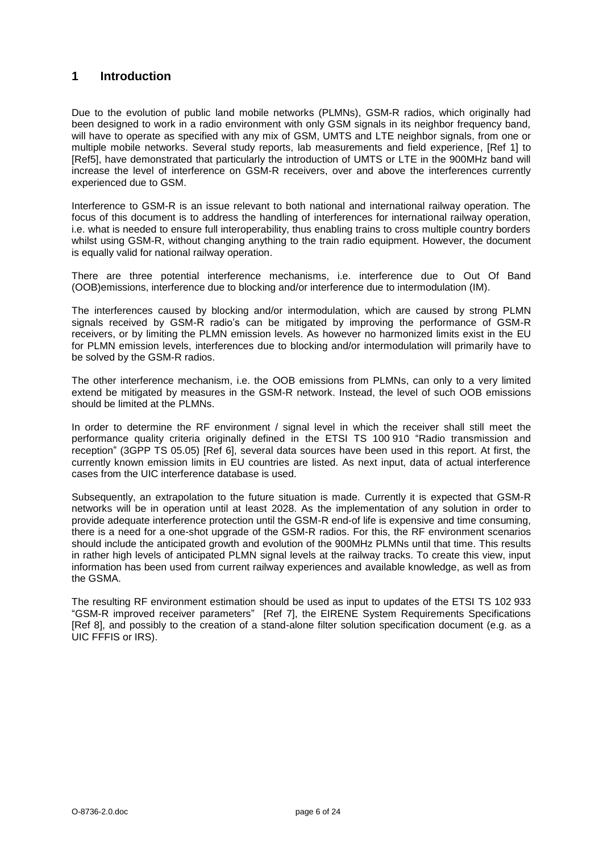### <span id="page-5-0"></span>**1 Introduction**

Due to the evolution of public land mobile networks (PLMNs), GSM-R radios, which originally had been designed to work in a radio environment with only GSM signals in its neighbor frequency band, will have to operate as specified with any mix of GSM, UMTS and LTE neighbor signals, from one or multiple mobile networks. Several study reports, lab measurements and field experience, [Ref 1] to [Ref5], have demonstrated that particularly the introduction of UMTS or LTE in the 900MHz band will increase the level of interference on GSM-R receivers, over and above the interferences currently experienced due to GSM.

Interference to GSM-R is an issue relevant to both national and international railway operation. The focus of this document is to address the handling of interferences for international railway operation, i.e. what is needed to ensure full interoperability, thus enabling trains to cross multiple country borders whilst using GSM-R, without changing anything to the train radio equipment. However, the document is equally valid for national railway operation.

There are three potential interference mechanisms, i.e. interference due to Out Of Band (OOB)emissions, interference due to blocking and/or interference due to intermodulation (IM).

The interferences caused by blocking and/or intermodulation, which are caused by strong PLMN signals received by GSM-R radio's can be mitigated by improving the performance of GSM-R receivers, or by limiting the PLMN emission levels. As however no harmonized limits exist in the EU for PLMN emission levels, interferences due to blocking and/or intermodulation will primarily have to be solved by the GSM-R radios.

The other interference mechanism, i.e. the OOB emissions from PLMNs, can only to a very limited extend be mitigated by measures in the GSM-R network. Instead, the level of such OOB emissions should be limited at the PLMNs.

In order to determine the RF environment / signal level in which the receiver shall still meet the performance quality criteria originally defined in the ETSI TS 100 910 "Radio transmission and reception" (3GPP TS 05.05) [Ref 6], several data sources have been used in this report. At first, the currently known emission limits in EU countries are listed. As next input, data of actual interference cases from the UIC interference database is used.

Subsequently, an extrapolation to the future situation is made. Currently it is expected that GSM-R networks will be in operation until at least 2028. As the implementation of any solution in order to provide adequate interference protection until the GSM-R end-of life is expensive and time consuming, there is a need for a one-shot upgrade of the GSM-R radios. For this, the RF environment scenarios should include the anticipated growth and evolution of the 900MHz PLMNs until that time. This results in rather high levels of anticipated PLMN signal levels at the railway tracks. To create this view, input information has been used from current railway experiences and available knowledge, as well as from the GSMA.

The resulting RF environment estimation should be used as input to updates of the ETSI TS 102 933 "GSM-R improved receiver parameters" [Ref 7], the EIRENE System Requirements Specifications [Ref 8], and possibly to the creation of a stand-alone filter solution specification document (e.g. as a UIC FFFIS or IRS).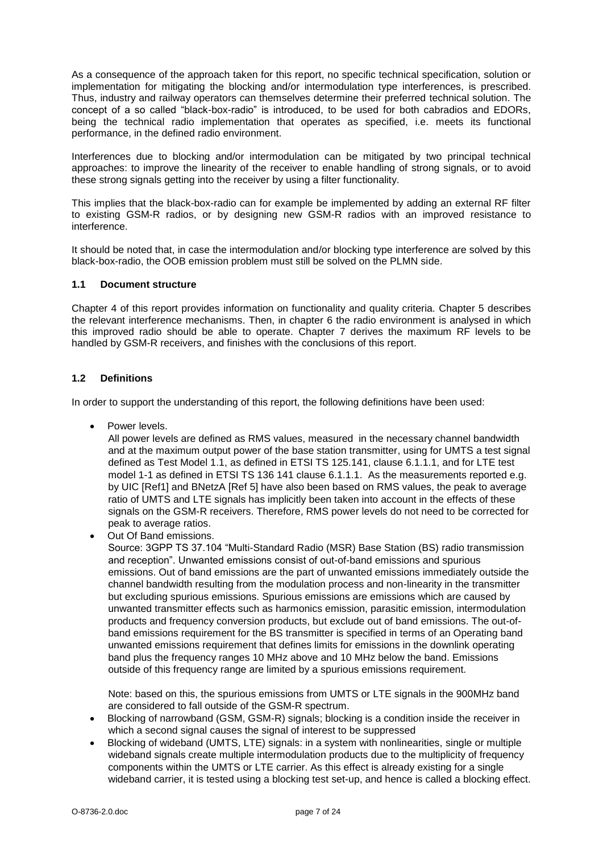As a consequence of the approach taken for this report, no specific technical specification, solution or implementation for mitigating the blocking and/or intermodulation type interferences, is prescribed. Thus, industry and railway operators can themselves determine their preferred technical solution. The concept of a so called "black-box-radio" is introduced, to be used for both cabradios and EDORs, being the technical radio implementation that operates as specified, i.e. meets its functional performance, in the defined radio environment.

Interferences due to blocking and/or intermodulation can be mitigated by two principal technical approaches: to improve the linearity of the receiver to enable handling of strong signals, or to avoid these strong signals getting into the receiver by using a filter functionality.

This implies that the black-box-radio can for example be implemented by adding an external RF filter to existing GSM-R radios, or by designing new GSM-R radios with an improved resistance to interference.

It should be noted that, in case the intermodulation and/or blocking type interference are solved by this black-box-radio, the OOB emission problem must still be solved on the PLMN side.

#### <span id="page-6-0"></span>**1.1 Document structure**

Chapter 4 of this report provides information on functionality and quality criteria. Chapter 5 describes the relevant interference mechanisms. Then, in chapter 6 the radio environment is analysed in which this improved radio should be able to operate. Chapter 7 derives the maximum RF levels to be handled by GSM-R receivers, and finishes with the conclusions of this report.

#### <span id="page-6-1"></span>**1.2 Definitions**

In order to support the understanding of this report, the following definitions have been used:

Power levels.

All power levels are defined as RMS values, measured in the necessary channel bandwidth and at the maximum output power of the base station transmitter, using for UMTS a test signal defined as Test Model 1.1, as defined in ETSI TS 125.141, clause 6.1.1.1, and for LTE test model 1-1 as defined in ETSI TS 136 141 clause 6.1.1.1. As the measurements reported e.g. by UIC [Ref1] and BNetzA [Ref 5] have also been based on RMS values, the peak to average ratio of UMTS and LTE signals has implicitly been taken into account in the effects of these signals on the GSM-R receivers. Therefore, RMS power levels do not need to be corrected for peak to average ratios.

Out Of Band emissions.

Source: 3GPP TS 37.104 "Multi-Standard Radio (MSR) Base Station (BS) radio transmission and reception". Unwanted emissions consist of out-of-band emissions and spurious emissions. Out of band emissions are the part of unwanted emissions immediately outside the channel bandwidth resulting from the modulation process and non-linearity in the transmitter but excluding spurious emissions. Spurious emissions are emissions which are caused by unwanted transmitter effects such as harmonics emission, parasitic emission, intermodulation products and frequency conversion products, but exclude out of band emissions. The out-ofband emissions requirement for the BS transmitter is specified in terms of an Operating band unwanted emissions requirement that defines limits for emissions in the downlink operating band plus the frequency ranges 10 MHz above and 10 MHz below the band. Emissions outside of this frequency range are limited by a spurious emissions requirement.

Note: based on this, the spurious emissions from UMTS or LTE signals in the 900MHz band are considered to fall outside of the GSM-R spectrum.

- Blocking of narrowband (GSM, GSM-R) signals; blocking is a condition inside the receiver in which a second signal causes the signal of interest to be suppressed
- Blocking of wideband (UMTS, LTE) signals: in a system with nonlinearities, single or multiple wideband signals create multiple intermodulation products due to the multiplicity of frequency components within the UMTS or LTE carrier. As this effect is already existing for a single wideband carrier, it is tested using a blocking test set-up, and hence is called a blocking effect.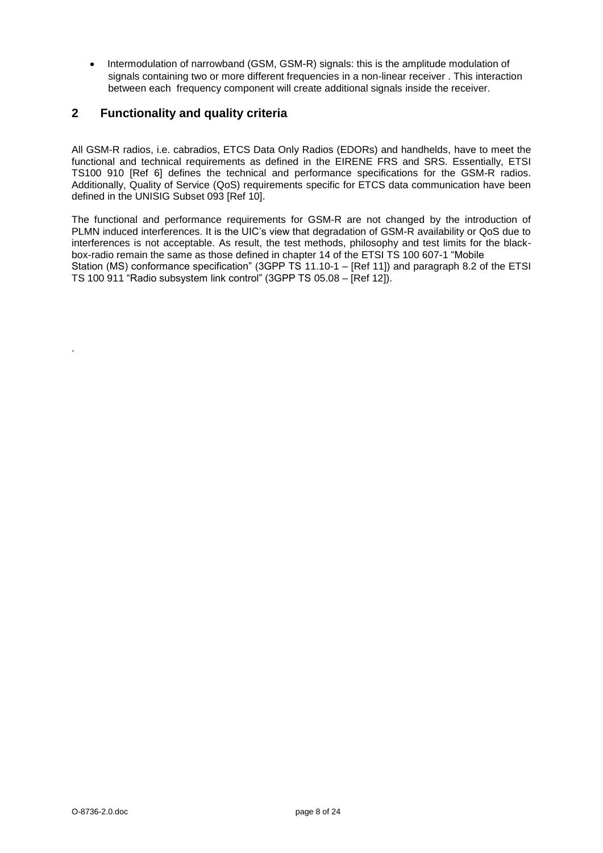• Intermodulation of narrowband (GSM, GSM-R) signals: this is the amplitude modulation of signals containing two or more different frequencies in a non-linear receiver . This interaction between each frequency component will create additional signals inside the receiver.

# <span id="page-7-0"></span>**2 Functionality and quality criteria**

All GSM-R radios, i.e. cabradios, ETCS Data Only Radios (EDORs) and handhelds, have to meet the functional and technical requirements as defined in the EIRENE FRS and SRS. Essentially, ETSI TS100 910 [Ref 6] defines the technical and performance specifications for the GSM-R radios. Additionally, Quality of Service (QoS) requirements specific for ETCS data communication have been defined in the UNISIG Subset 093 [Ref 10].

The functional and performance requirements for GSM-R are not changed by the introduction of PLMN induced interferences. It is the UIC's view that degradation of GSM-R availability or QoS due to interferences is not acceptable. As result, the test methods, philosophy and test limits for the blackbox-radio remain the same as those defined in chapter 14 of the ETSI TS 100 607-1 "Mobile Station (MS) conformance specification" (3GPP TS 11.10-1 – [Ref 11]) and paragraph 8.2 of the ETSI TS 100 911 "Radio subsystem link control" (3GPP TS 05.08 – [Ref 12]).

.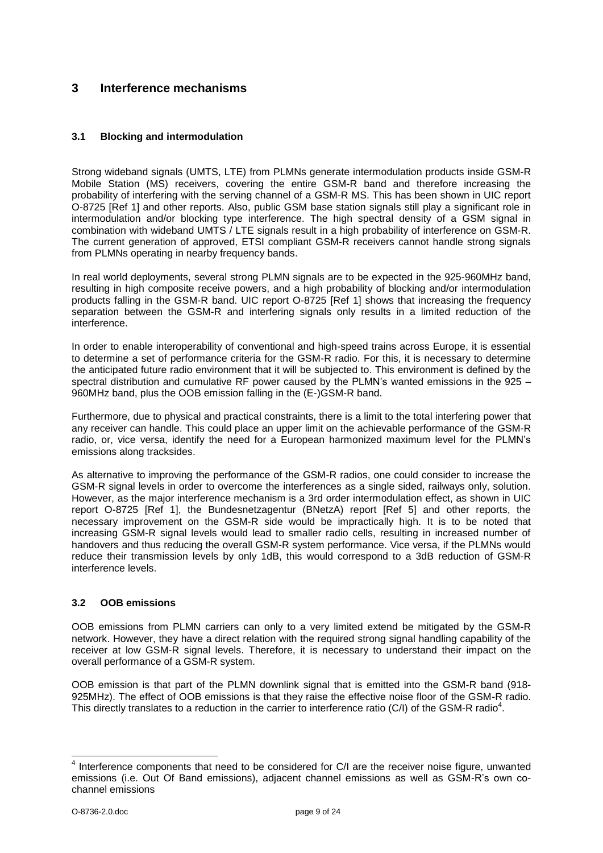## <span id="page-8-0"></span>**3 Interference mechanisms**

#### <span id="page-8-1"></span>**3.1 Blocking and intermodulation**

Strong wideband signals (UMTS, LTE) from PLMNs generate intermodulation products inside GSM-R Mobile Station (MS) receivers, covering the entire GSM-R band and therefore increasing the probability of interfering with the serving channel of a GSM-R MS. This has been shown in UIC report O-8725 [Ref 1] and other reports. Also, public GSM base station signals still play a significant role in intermodulation and/or blocking type interference. The high spectral density of a GSM signal in combination with wideband UMTS / LTE signals result in a high probability of interference on GSM-R. The current generation of approved, ETSI compliant GSM-R receivers cannot handle strong signals from PLMNs operating in nearby frequency bands.

In real world deployments, several strong PLMN signals are to be expected in the 925-960MHz band, resulting in high composite receive powers, and a high probability of blocking and/or intermodulation products falling in the GSM-R band. UIC report O-8725 [Ref 1] shows that increasing the frequency separation between the GSM-R and interfering signals only results in a limited reduction of the interference.

In order to enable interoperability of conventional and high-speed trains across Europe, it is essential to determine a set of performance criteria for the GSM-R radio. For this, it is necessary to determine the anticipated future radio environment that it will be subjected to. This environment is defined by the spectral distribution and cumulative RF power caused by the PLMN's wanted emissions in the 925 – 960MHz band, plus the OOB emission falling in the (E-)GSM-R band.

Furthermore, due to physical and practical constraints, there is a limit to the total interfering power that any receiver can handle. This could place an upper limit on the achievable performance of the GSM-R radio, or, vice versa, identify the need for a European harmonized maximum level for the PLMN's emissions along tracksides.

As alternative to improving the performance of the GSM-R radios, one could consider to increase the GSM-R signal levels in order to overcome the interferences as a single sided, railways only, solution. However, as the major interference mechanism is a 3rd order intermodulation effect, as shown in UIC report O-8725 [Ref 1], the Bundesnetzagentur (BNetzA) report [Ref 5] and other reports, the necessary improvement on the GSM-R side would be impractically high. It is to be noted that increasing GSM-R signal levels would lead to smaller radio cells, resulting in increased number of handovers and thus reducing the overall GSM-R system performance. Vice versa, if the PLMNs would reduce their transmission levels by only 1dB, this would correspond to a 3dB reduction of GSM-R interference levels.

#### <span id="page-8-2"></span>**3.2 OOB emissions**

OOB emissions from PLMN carriers can only to a very limited extend be mitigated by the GSM-R network. However, they have a direct relation with the required strong signal handling capability of the receiver at low GSM-R signal levels. Therefore, it is necessary to understand their impact on the overall performance of a GSM-R system.

OOB emission is that part of the PLMN downlink signal that is emitted into the GSM-R band (918- 925MHz). The effect of OOB emissions is that they raise the effective noise floor of the GSM-R radio. This directly translates to a reduction in the carrier to interference ratio (C/I) of the GSM-R radio<sup>4</sup>.

<sup>————————————————————&</sup>lt;br><sup>4</sup> Interference components that need to be considered for C/I are the receiver noise figure, unwanted emissions (i.e. Out Of Band emissions), adjacent channel emissions as well as GSM-R's own cochannel emissions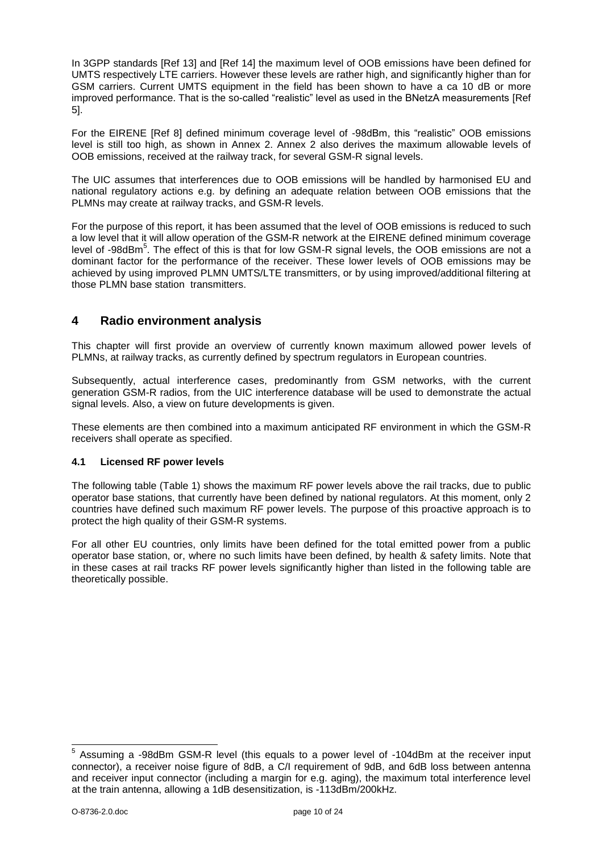In 3GPP standards [Ref 13] and [Ref 14] the maximum level of OOB emissions have been defined for UMTS respectively LTE carriers. However these levels are rather high, and significantly higher than for GSM carriers. Current UMTS equipment in the field has been shown to have a ca 10 dB or more improved performance. That is the so-called "realistic" level as used in the BNetzA measurements [Ref 5].

For the EIRENE [Ref 8] defined minimum coverage level of -98dBm, this "realistic" OOB emissions level is still too high, as shown in Annex 2. Annex 2 also derives the maximum allowable levels of OOB emissions, received at the railway track, for several GSM-R signal levels.

The UIC assumes that interferences due to OOB emissions will be handled by harmonised EU and national regulatory actions e.g. by defining an adequate relation between OOB emissions that the PLMNs may create at railway tracks, and GSM-R levels.

For the purpose of this report, it has been assumed that the level of OOB emissions is reduced to such a low level that it will allow operation of the GSM-R network at the EIRENE defined minimum coverage level of -98dBm<sup>5</sup>. The effect of this is that for low GSM-R signal levels, the OOB emissions are not a dominant factor for the performance of the receiver. These lower levels of OOB emissions may be achieved by using improved PLMN UMTS/LTE transmitters, or by using improved/additional filtering at those PLMN base station transmitters.

## <span id="page-9-0"></span>**4 Radio environment analysis**

This chapter will first provide an overview of currently known maximum allowed power levels of PLMNs, at railway tracks, as currently defined by spectrum regulators in European countries.

Subsequently, actual interference cases, predominantly from GSM networks, with the current generation GSM-R radios, from the UIC interference database will be used to demonstrate the actual signal levels. Also, a view on future developments is given.

These elements are then combined into a maximum anticipated RF environment in which the GSM-R receivers shall operate as specified.

#### <span id="page-9-1"></span>**4.1 Licensed RF power levels**

The following table (Table 1) shows the maximum RF power levels above the rail tracks, due to public operator base stations, that currently have been defined by national regulators. At this moment, only 2 countries have defined such maximum RF power levels. The purpose of this proactive approach is to protect the high quality of their GSM-R systems.

For all other EU countries, only limits have been defined for the total emitted power from a public operator base station, or, where no such limits have been defined, by health & safety limits. Note that in these cases at rail tracks RF power levels significantly higher than listed in the following table are theoretically possible.

 5 Assuming a -98dBm GSM-R level (this equals to a power level of -104dBm at the receiver input connector), a receiver noise figure of 8dB, a C/I requirement of 9dB, and 6dB loss between antenna and receiver input connector (including a margin for e.g. aging), the maximum total interference level at the train antenna, allowing a 1dB desensitization, is -113dBm/200kHz.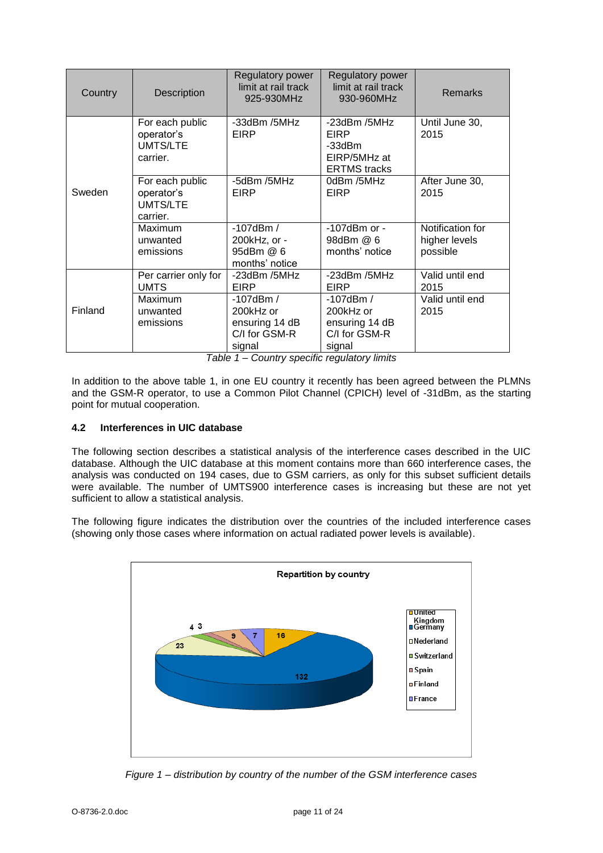| Country | Description                                           | Regulatory power<br>limit at rail track<br>925-930MHz               | <b>Regulatory power</b><br>limit at rail track<br>930-960MHz             | <b>Remarks</b>                                |
|---------|-------------------------------------------------------|---------------------------------------------------------------------|--------------------------------------------------------------------------|-----------------------------------------------|
|         | For each public<br>operator's<br>UMTS/LTE<br>carrier. | -33dBm /5MHz<br>EIRP                                                | $-23$ dBm /5MHz<br>EIRP<br>-33dBm<br>EIRP/5MHz at<br><b>ERTMS</b> tracks | Until June 30,<br>2015                        |
| Sweden  | For each public<br>operator's<br>UMTS/LTE<br>carrier. | -5dBm /5MHz<br>EIRP                                                 | 0dBm /5MHz<br>EIRP                                                       | After June 30,<br>2015                        |
|         | Maximum<br>unwanted<br>emissions                      | $-107$ dBm $/$<br>200kHz, or -<br>95dBm @ 6<br>months' notice       | $-107$ dBm or $-$<br>98dBm @ 6<br>months' notice                         | Notification for<br>higher levels<br>possible |
|         | Per carrier only for<br><b>UMTS</b>                   | -23dBm /5MHz<br><b>EIRP</b>                                         | -23dBm /5MHz<br>EIRP                                                     | Valid until end<br>2015                       |
| Finland | Maximum<br>unwanted<br>emissions                      | -107dBm /<br>200kHz or<br>ensuring 14 dB<br>C/I for GSM-R<br>signal | $-107$ dBm $/$<br>200kHz or<br>ensuring 14 dB<br>C/I for GSM-R<br>signal | Valid until end<br>2015                       |

*Table 1 – Country specific regulatory limits*

In addition to the above table 1, in one EU country it recently has been agreed between the PLMNs and the GSM-R operator, to use a Common Pilot Channel (CPICH) level of -31dBm, as the starting point for mutual cooperation.

#### <span id="page-10-0"></span>**4.2 Interferences in UIC database**

The following section describes a statistical analysis of the interference cases described in the UIC database. Although the UIC database at this moment contains more than 660 interference cases, the analysis was conducted on 194 cases, due to GSM carriers, as only for this subset sufficient details were available. The number of UMTS900 interference cases is increasing but these are not yet sufficient to allow a statistical analysis.

The following figure indicates the distribution over the countries of the included interference cases (showing only those cases where information on actual radiated power levels is available).



*Figure 1 – distribution by country of the number of the GSM interference cases*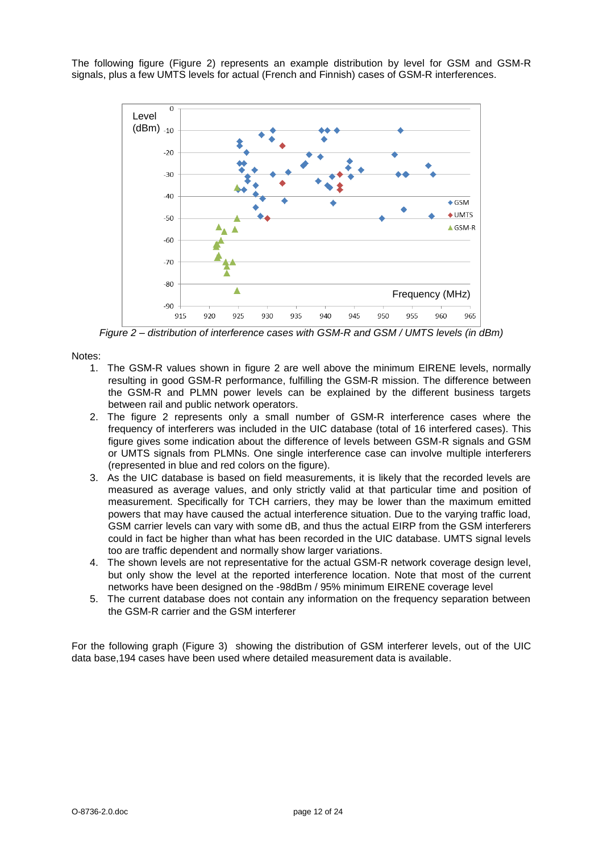The following figure (Figure 2) represents an example distribution by level for GSM and GSM-R signals, plus a few UMTS levels for actual (French and Finnish) cases of GSM-R interferences.



*Figure 2 – distribution of interference cases with GSM-R and GSM / UMTS levels (in dBm)*

Notes:

- 1. The GSM-R values shown in figure 2 are well above the minimum EIRENE levels, normally resulting in good GSM-R performance, fulfilling the GSM-R mission. The difference between the GSM-R and PLMN power levels can be explained by the different business targets between rail and public network operators.
- 2. The figure 2 represents only a small number of GSM-R interference cases where the frequency of interferers was included in the UIC database (total of 16 interfered cases). This figure gives some indication about the difference of levels between GSM-R signals and GSM or UMTS signals from PLMNs. One single interference case can involve multiple interferers (represented in blue and red colors on the figure).
- 3. As the UIC database is based on field measurements, it is likely that the recorded levels are measured as average values, and only strictly valid at that particular time and position of measurement. Specifically for TCH carriers, they may be lower than the maximum emitted powers that may have caused the actual interference situation. Due to the varying traffic load, GSM carrier levels can vary with some dB, and thus the actual EIRP from the GSM interferers could in fact be higher than what has been recorded in the UIC database. UMTS signal levels too are traffic dependent and normally show larger variations.
- 4. The shown levels are not representative for the actual GSM-R network coverage design level, but only show the level at the reported interference location. Note that most of the current networks have been designed on the -98dBm / 95% minimum EIRENE coverage level
- 5. The current database does not contain any information on the frequency separation between the GSM-R carrier and the GSM interferer

For the following graph (Figure 3) showing the distribution of GSM interferer levels, out of the UIC data base,194 cases have been used where detailed measurement data is available.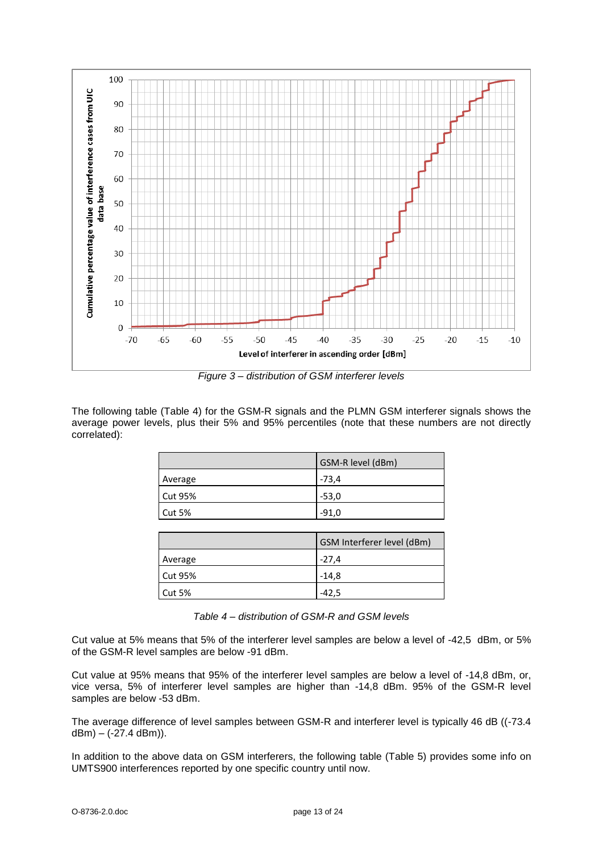

*Figure 3 – distribution of GSM interferer levels*

The following table (Table 4) for the GSM-R signals and the PLMN GSM interferer signals shows the average power levels, plus their 5% and 95% percentiles (note that these numbers are not directly correlated):

|                | GSM-R level (dBm) |
|----------------|-------------------|
| Average        | $-73.4$           |
| <b>Cut 95%</b> | $-53,0$           |
| <b>Cut 5%</b>  | $-91,0$           |

|                | GSM Interferer level (dBm) |
|----------------|----------------------------|
| <b>Average</b> | $-27.4$                    |
| Cut 95%        | $-14.8$                    |
| $\vert$ Cut 5% | -42.5                      |

Cut value at 5% means that 5% of the interferer level samples are below a level of -42,5 dBm, or 5% of the GSM-R level samples are below -91 dBm.

Cut value at 95% means that 95% of the interferer level samples are below a level of -14,8 dBm, or, vice versa, 5% of interferer level samples are higher than -14,8 dBm. 95% of the GSM-R level samples are below -53 dBm.

The average difference of level samples between GSM-R and interferer level is typically 46 dB ((-73.4  $dBm$ ) – (-27.4 dBm)).

In addition to the above data on GSM interferers, the following table (Table 5) provides some info on UMTS900 interferences reported by one specific country until now.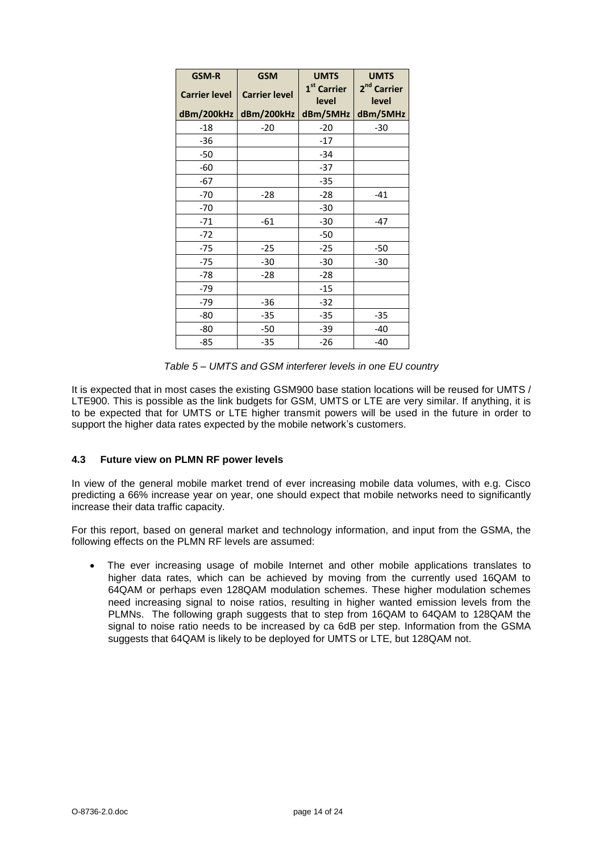| <b>GSM-R</b>         | <b>GSM</b>           | <b>UMTS</b><br><b>UMTS</b>       |                                  |  |  |
|----------------------|----------------------|----------------------------------|----------------------------------|--|--|
| <b>Carrier level</b> | <b>Carrier level</b> | 1 <sup>st</sup> Carrier<br>level | 2 <sup>nd</sup> Carrier<br>level |  |  |
| dBm/200kHz           | dBm/200kHz           | dBm/5MHz                         | dBm/5MHz                         |  |  |
| -18                  | -20                  | -20                              | -30                              |  |  |
| $-36$                |                      | $-17$                            |                                  |  |  |
| $-50$                |                      | $-34$                            |                                  |  |  |
| -60                  |                      | $-37$                            |                                  |  |  |
| -67                  |                      | $-35$                            |                                  |  |  |
| $-70$                | $-28$                | $-28$                            | $-41$                            |  |  |
| $-70$                |                      | $-30$                            |                                  |  |  |
| $-71$                | -61                  | $-30$                            | $-47$                            |  |  |
| $-72$                |                      | $-50$                            |                                  |  |  |
| $-75$                | $-25$                | $-25$                            | -50                              |  |  |
| $-75$                | $-30$                | $-30$                            | $-30$                            |  |  |
| $-78$                | $-28$                | $-28$                            |                                  |  |  |
| $-79$                |                      | $-15$                            |                                  |  |  |
| $-79$                | -36                  | $-32$                            |                                  |  |  |
| -80                  | $-35$                | $-35$                            | $-35$                            |  |  |
| -80                  | $-50$                | $-39$                            | $-40$                            |  |  |
| -85                  | $-35$                | $-26$                            | $-40$                            |  |  |

*Table 5 – UMTS and GSM interferer levels in one EU country*

It is expected that in most cases the existing GSM900 base station locations will be reused for UMTS / LTE900. This is possible as the link budgets for GSM, UMTS or LTE are very similar. If anything, it is to be expected that for UMTS or LTE higher transmit powers will be used in the future in order to support the higher data rates expected by the mobile network's customers.

#### <span id="page-13-0"></span>**4.3 Future view on PLMN RF power levels**

In view of the general mobile market trend of ever increasing mobile data volumes, with e.g. Cisco predicting a 66% increase year on year, one should expect that mobile networks need to significantly increase their data traffic capacity.

For this report, based on general market and technology information, and input from the GSMA, the following effects on the PLMN RF levels are assumed:

 The ever increasing usage of mobile Internet and other mobile applications translates to higher data rates, which can be achieved by moving from the currently used 16QAM to 64QAM or perhaps even 128QAM modulation schemes. These higher modulation schemes need increasing signal to noise ratios, resulting in higher wanted emission levels from the PLMNs. The following graph suggests that to step from 16QAM to 64QAM to 128QAM the signal to noise ratio needs to be increased by ca 6dB per step. Information from the GSMA suggests that 64QAM is likely to be deployed for UMTS or LTE, but 128QAM not.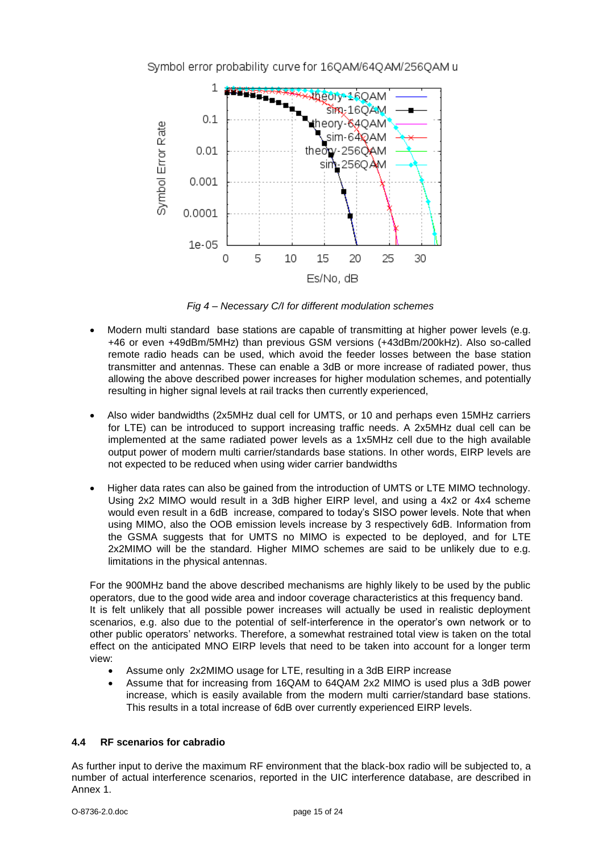

*Fig 4 – Necessary C/I for different modulation schemes*

- Modern multi standard base stations are capable of transmitting at higher power levels (e.g. +46 or even +49dBm/5MHz) than previous GSM versions (+43dBm/200kHz). Also so-called remote radio heads can be used, which avoid the feeder losses between the base station transmitter and antennas. These can enable a 3dB or more increase of radiated power, thus allowing the above described power increases for higher modulation schemes, and potentially resulting in higher signal levels at rail tracks then currently experienced,
- Also wider bandwidths (2x5MHz dual cell for UMTS, or 10 and perhaps even 15MHz carriers for LTE) can be introduced to support increasing traffic needs. A 2x5MHz dual cell can be implemented at the same radiated power levels as a 1x5MHz cell due to the high available output power of modern multi carrier/standards base stations. In other words, EIRP levels are not expected to be reduced when using wider carrier bandwidths
- Higher data rates can also be gained from the introduction of UMTS or LTE MIMO technology. Using 2x2 MIMO would result in a 3dB higher EIRP level, and using a 4x2 or 4x4 scheme would even result in a 6dB increase, compared to today's SISO power levels. Note that when using MIMO, also the OOB emission levels increase by 3 respectively 6dB. Information from the GSMA suggests that for UMTS no MIMO is expected to be deployed, and for LTE 2x2MIMO will be the standard. Higher MIMO schemes are said to be unlikely due to e.g. limitations in the physical antennas.

For the 900MHz band the above described mechanisms are highly likely to be used by the public operators, due to the good wide area and indoor coverage characteristics at this frequency band. It is felt unlikely that all possible power increases will actually be used in realistic deployment scenarios, e.g. also due to the potential of self-interference in the operator's own network or to other public operators' networks. Therefore, a somewhat restrained total view is taken on the total effect on the anticipated MNO EIRP levels that need to be taken into account for a longer term view:

- Assume only 2x2MIMO usage for LTE, resulting in a 3dB EIRP increase
- Assume that for increasing from 16QAM to 64QAM 2x2 MIMO is used plus a 3dB power increase, which is easily available from the modern multi carrier/standard base stations. This results in a total increase of 6dB over currently experienced EIRP levels.

#### <span id="page-14-0"></span>**4.4 RF scenarios for cabradio**

As further input to derive the maximum RF environment that the black-box radio will be subjected to, a number of actual interference scenarios, reported in the UIC interference database, are described in Annex 1.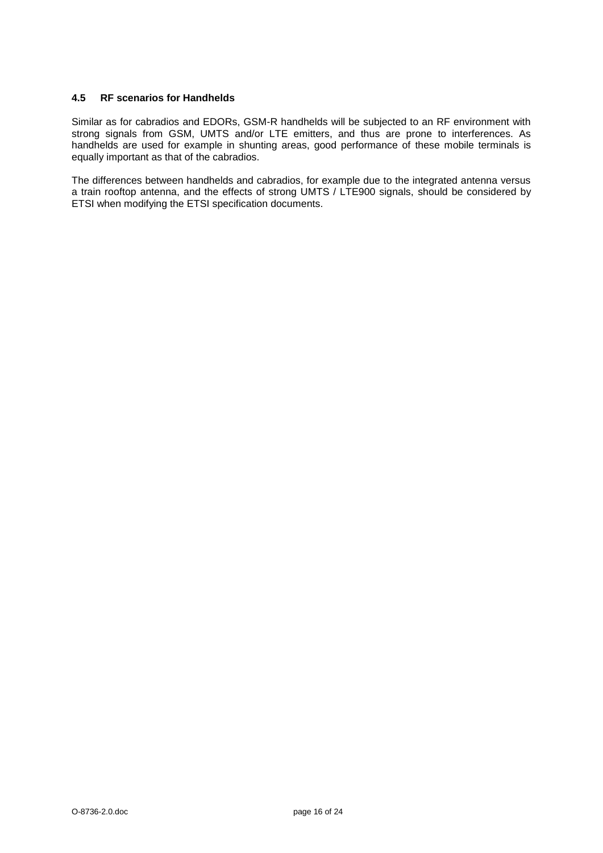#### <span id="page-15-0"></span>**4.5 RF scenarios for Handhelds**

Similar as for cabradios and EDORs, GSM-R handhelds will be subjected to an RF environment with strong signals from GSM, UMTS and/or LTE emitters, and thus are prone to interferences. As handhelds are used for example in shunting areas, good performance of these mobile terminals is equally important as that of the cabradios.

The differences between handhelds and cabradios, for example due to the integrated antenna versus a train rooftop antenna, and the effects of strong UMTS / LTE900 signals, should be considered by ETSI when modifying the ETSI specification documents.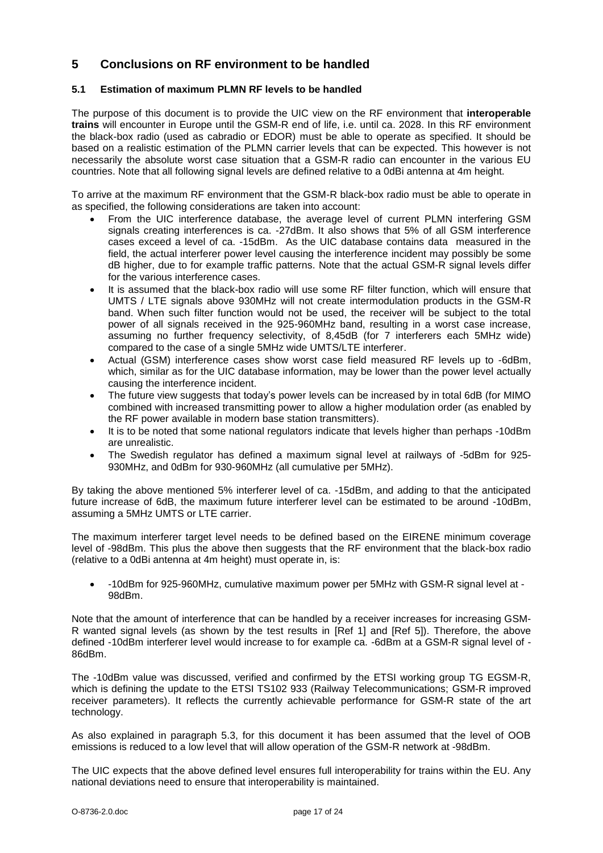# <span id="page-16-0"></span>**5 Conclusions on RF environment to be handled**

#### <span id="page-16-1"></span>**5.1 Estimation of maximum PLMN RF levels to be handled**

The purpose of this document is to provide the UIC view on the RF environment that **interoperable trains** will encounter in Europe until the GSM-R end of life, i.e. until ca. 2028. In this RF environment the black-box radio (used as cabradio or EDOR) must be able to operate as specified. It should be based on a realistic estimation of the PLMN carrier levels that can be expected. This however is not necessarily the absolute worst case situation that a GSM-R radio can encounter in the various EU countries. Note that all following signal levels are defined relative to a 0dBi antenna at 4m height.

To arrive at the maximum RF environment that the GSM-R black-box radio must be able to operate in as specified, the following considerations are taken into account:

- From the UIC interference database, the average level of current PLMN interfering GSM signals creating interferences is ca. -27dBm. It also shows that 5% of all GSM interference cases exceed a level of ca. -15dBm. As the UIC database contains data measured in the field, the actual interferer power level causing the interference incident may possibly be some dB higher, due to for example traffic patterns. Note that the actual GSM-R signal levels differ for the various interference cases.
- It is assumed that the black-box radio will use some RF filter function, which will ensure that UMTS / LTE signals above 930MHz will not create intermodulation products in the GSM-R band. When such filter function would not be used, the receiver will be subject to the total power of all signals received in the 925-960MHz band, resulting in a worst case increase, assuming no further frequency selectivity, of 8,45dB (for 7 interferers each 5MHz wide) compared to the case of a single 5MHz wide UMTS/LTE interferer.
- Actual (GSM) interference cases show worst case field measured RF levels up to -6dBm, which, similar as for the UIC database information, may be lower than the power level actually causing the interference incident.
- The future view suggests that today's power levels can be increased by in total 6dB (for MIMO combined with increased transmitting power to allow a higher modulation order (as enabled by the RF power available in modern base station transmitters).
- It is to be noted that some national regulators indicate that levels higher than perhaps -10dBm are unrealistic.
- The Swedish regulator has defined a maximum signal level at railways of -5dBm for 925- 930MHz, and 0dBm for 930-960MHz (all cumulative per 5MHz).

By taking the above mentioned 5% interferer level of ca. -15dBm, and adding to that the anticipated future increase of 6dB, the maximum future interferer level can be estimated to be around -10dBm, assuming a 5MHz UMTS or LTE carrier.

The maximum interferer target level needs to be defined based on the EIRENE minimum coverage level of -98dBm. This plus the above then suggests that the RF environment that the black-box radio (relative to a 0dBi antenna at 4m height) must operate in, is:

 -10dBm for 925-960MHz, cumulative maximum power per 5MHz with GSM-R signal level at - 98dBm.

Note that the amount of interference that can be handled by a receiver increases for increasing GSM-R wanted signal levels (as shown by the test results in [Ref 1] and [Ref 5]). Therefore, the above defined -10dBm interferer level would increase to for example ca. -6dBm at a GSM-R signal level of - 86dBm.

The -10dBm value was discussed, verified and confirmed by the ETSI working group TG EGSM-R, which is defining the update to the ETSI TS102 933 (Railway Telecommunications; GSM-R improved receiver parameters). It reflects the currently achievable performance for GSM-R state of the art technology.

As also explained in paragraph 5.3, for this document it has been assumed that the level of OOB emissions is reduced to a low level that will allow operation of the GSM-R network at -98dBm.

The UIC expects that the above defined level ensures full interoperability for trains within the EU. Any national deviations need to ensure that interoperability is maintained.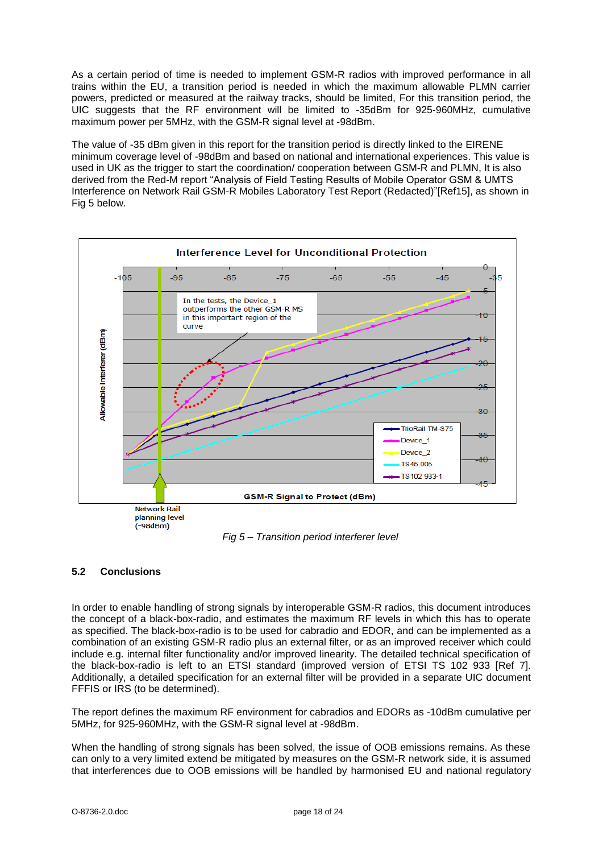As a certain period of time is needed to implement GSM-R radios with improved performance in all trains within the EU, a transition period is needed in which the maximum allowable PLMN carrier powers, predicted or measured at the railway tracks, should be limited, For this transition period, the UIC suggests that the RF environment will be limited to -35dBm for 925-960MHz, cumulative maximum power per 5MHz, with the GSM-R signal level at -98dBm.

The value of -35 dBm given in this report for the transition period is directly linked to the EIRENE minimum coverage level of -98dBm and based on national and international experiences. This value is used in UK as the trigger to start the coordination/ cooperation between GSM-R and PLMN, It is also derived from the Red-M report "Analysis of Field Testing Results of Mobile Operator GSM & UMTS Interference on Network Rail GSM-R Mobiles Laboratory Test Report (Redacted)"[Ref15], as shown in Fig 5 below.



*Fig 5 – Transition period interferer level*

### <span id="page-17-0"></span>**5.2 Conclusions**

In order to enable handling of strong signals by interoperable GSM-R radios, this document introduces the concept of a black-box-radio, and estimates the maximum RF levels in which this has to operate as specified. The black-box-radio is to be used for cabradio and EDOR, and can be implemented as a combination of an existing GSM-R radio plus an external filter, or as an improved receiver which could include e.g. internal filter functionality and/or improved linearity. The detailed technical specification of the black-box-radio is left to an ETSI standard (improved version of ETSI TS 102 933 [Ref 7]. Additionally, a detailed specification for an external filter will be provided in a separate UIC document FFFIS or IRS (to be determined).

The report defines the maximum RF environment for cabradios and EDORs as -10dBm cumulative per 5MHz, for 925-960MHz, with the GSM-R signal level at -98dBm.

When the handling of strong signals has been solved, the issue of OOB emissions remains. As these can only to a very limited extend be mitigated by measures on the GSM-R network side, it is assumed that interferences due to OOB emissions will be handled by harmonised EU and national regulatory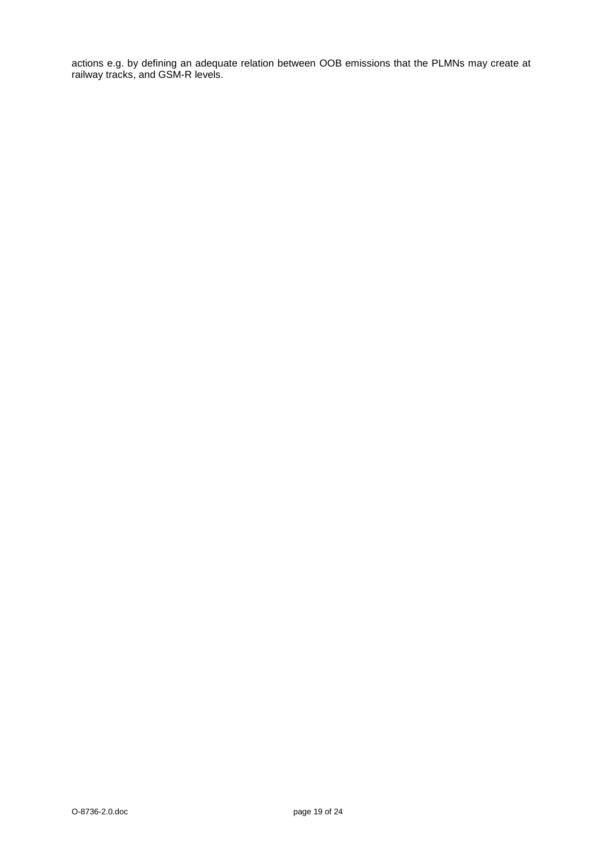actions e.g. by defining an adequate relation between OOB emissions that the PLMNs may create at railway tracks, and GSM-R levels.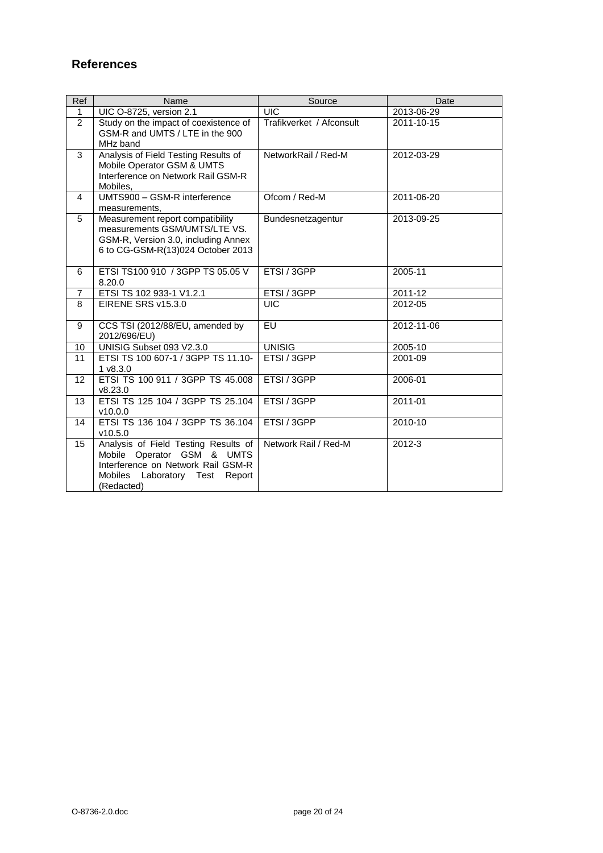# <span id="page-19-0"></span>**References**

| <b>Ref</b>      | Name                                                                                                                                                               | Source                   | Date       |
|-----------------|--------------------------------------------------------------------------------------------------------------------------------------------------------------------|--------------------------|------------|
| $\mathbf{1}$    | UIC O-8725, version 2.1                                                                                                                                            | <b>UIC</b>               | 2013-06-29 |
| 2               | Study on the impact of coexistence of<br>GSM-R and UMTS / LTE in the 900<br>MHz band                                                                               | Trafikverket / Afconsult | 2011-10-15 |
| 3               | Analysis of Field Testing Results of<br>Mobile Operator GSM & UMTS<br>Interference on Network Rail GSM-R<br>Mobiles.                                               | NetworkRail / Red-M      | 2012-03-29 |
| $\overline{4}$  | UMTS900 - GSM-R interference<br>measurements,                                                                                                                      | Ofcom / Red-M            | 2011-06-20 |
| 5               | Measurement report compatibility<br>measurements GSM/UMTS/LTE VS.<br>GSM-R, Version 3.0, including Annex<br>6 to CG-GSM-R(13)024 October 2013                      | Bundesnetzagentur        | 2013-09-25 |
| 6               | ETSI TS100 910 / 3GPP TS 05.05 V<br>8.20.0                                                                                                                         | ETSI / 3GPP              | 2005-11    |
| $\overline{7}$  | ETSI TS 102 933-1 V1.2.1                                                                                                                                           | ETSI / 3GPP              | 2011-12    |
| 8               | EIRENE SRS v15.3.0                                                                                                                                                 | <b>UIC</b>               | 2012-05    |
| 9               | CCS TSI (2012/88/EU, amended by<br>2012/696/EU)                                                                                                                    | EU                       | 2012-11-06 |
| 10 <sup>1</sup> | UNISIG Subset 093 V2.3.0                                                                                                                                           | <b>UNISIG</b>            | 2005-10    |
| 11              | ETSI TS 100 607-1 / 3GPP TS 11.10-<br>1 v8.3.0                                                                                                                     | ETSI / 3GPP              | 2001-09    |
| 12              | ETSI TS 100 911 / 3GPP TS 45.008<br>v8.23.0                                                                                                                        | ETSI / 3GPP              | 2006-01    |
| 13              | ETSI TS 125 104 / 3GPP TS 25.104<br>v10.0.0                                                                                                                        | ETSI / 3GPP              | 2011-01    |
| 14              | ETSI TS 136 104 / 3GPP TS 36.104<br>v10.5.0                                                                                                                        | ETSI / 3GPP              | 2010-10    |
| 15              | Analysis of Field Testing Results of<br>Mobile Operator GSM & UMTS<br>Interference on Network Rail GSM-R<br><b>Mobiles</b><br>Laboratory Test Report<br>(Redacted) | Network Rail / Red-M     | $2012 - 3$ |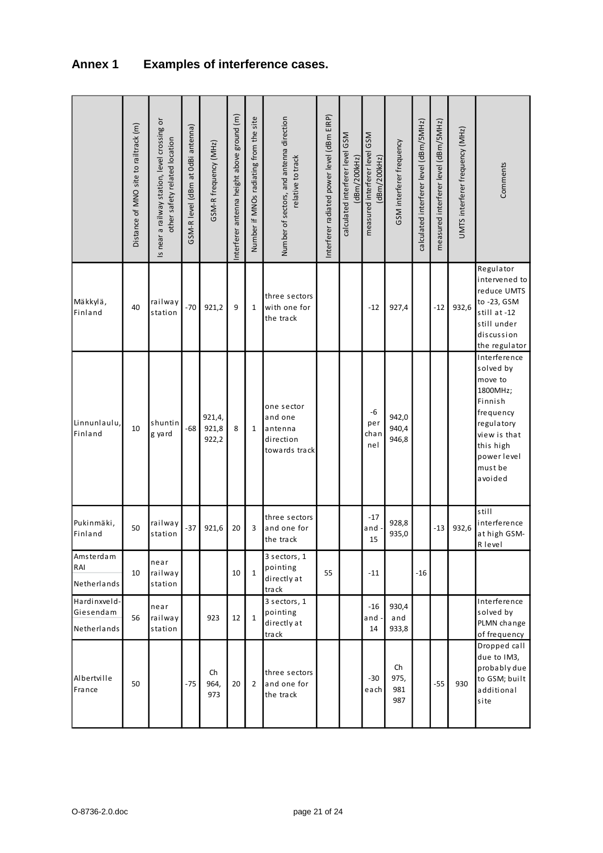# <span id="page-20-0"></span>**Annex 1 Examples of interference cases.**

|                                          | Distance of MNO site to railtrack (m) | Is near a railway station, level crossing or<br>other safety related location | GSM-R level (dBm at OdBi antenna) | GSM-R frequency (MHz)    | Interferer antenna height above ground (m) | Number if MNOs radiating from the site | Number of sectors, and antenna direction<br>relative to track  | Interferer radiated power level (dBm EIRP) | GSM<br>calculated interferer level<br>dBm/200kHz) | measured interferer level GSM<br>(dBm/200kHz) | GSM interferer frequency | calculated interferer level (dBm/5MHz) | measured interferer level (dBm/5MHz) | UMTS interferer frequency (MHz) | Comments                                                                                                                                                |
|------------------------------------------|---------------------------------------|-------------------------------------------------------------------------------|-----------------------------------|--------------------------|--------------------------------------------|----------------------------------------|----------------------------------------------------------------|--------------------------------------------|---------------------------------------------------|-----------------------------------------------|--------------------------|----------------------------------------|--------------------------------------|---------------------------------|---------------------------------------------------------------------------------------------------------------------------------------------------------|
| Mäkkylä,<br>Finland                      | 40                                    | railway<br>station                                                            | $-70$                             | 921,2                    | 9                                          | $\mathbf{1}$                           | three sectors<br>with one for<br>the track                     |                                            |                                                   | $-12$                                         | 927,4                    |                                        | $-12$                                | 932,6                           | Regulator<br>intervened to<br>reduce UMTS<br>to -23, GSM<br>still at -12<br>still under<br>discussion<br>the regulator                                  |
| Linnunlaulu,<br>Finland                  | 10                                    | shuntin<br>g yard                                                             | $-68$                             | 921,4,<br>921,8<br>922,2 | 8                                          | $\mathbf{1}$                           | one sector<br>and one<br>antenna<br>direction<br>towards track |                                            |                                                   | -6<br>per<br>cha n<br>nel                     | 942,0<br>940,4<br>946,8  |                                        |                                      |                                 | Interference<br>solved by<br>move to<br>1800MHz;<br>Finnish<br>frequency<br>regulatory<br>view is that<br>this high<br>powerlevel<br>must be<br>avoided |
| Pukinmäki,<br>Finland                    | 50                                    | railway<br>station                                                            | $-37$                             | 921,6                    | 20                                         | 3                                      | three sectors<br>and one for<br>the track                      |                                            |                                                   | $-17$<br>and<br>15                            | 928,8<br>935,0           |                                        | $-13$                                | 932,6                           | still<br>interference<br>at high GSM-<br>R level                                                                                                        |
| Amsterdam<br>RAI<br>Netherlands          | 10                                    | near<br>railway<br>station                                                    |                                   |                          | 10                                         | $\mathbf{1}$                           | 3 sectors, 1<br>pointing<br>directlyat<br>track                | 55                                         |                                                   | $-11$                                         |                          | $-16$                                  |                                      |                                 |                                                                                                                                                         |
| Hardinxveld-<br>Giesendam<br>Netherlands | 56                                    | near<br>railway<br>station                                                    |                                   | 923                      | 12                                         | $\mathbf{1}$                           | 3 sectors, 1<br>pointing<br>directlyat<br>track                |                                            |                                                   | $-16$<br>and<br>14                            | 930,4<br>and<br>933,8    |                                        |                                      |                                 | Interference<br>solved by<br>PLMN change<br>of frequency                                                                                                |
| Albertville<br>France                    | 50                                    |                                                                               | $-75$                             | Ch<br>964,<br>973        | 20                                         | $\overline{2}$                         | three sectors<br>and one for<br>the track                      |                                            |                                                   | -30<br>$e$ ach                                | Ch<br>975,<br>981<br>987 |                                        | $-55$                                | 930                             | Dropped call<br>due to IM3,<br>probably due<br>to GSM; built<br>additional<br>site                                                                      |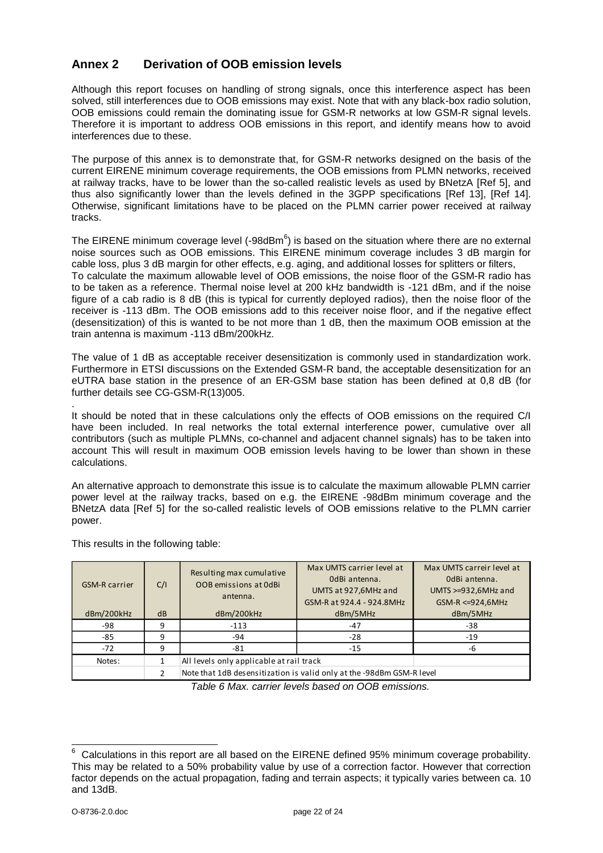# <span id="page-21-0"></span>**Annex 2 Derivation of OOB emission levels**

Although this report focuses on handling of strong signals, once this interference aspect has been solved, still interferences due to OOB emissions may exist. Note that with any black-box radio solution, OOB emissions could remain the dominating issue for GSM-R networks at low GSM-R signal levels. Therefore it is important to address OOB emissions in this report, and identify means how to avoid interferences due to these.

The purpose of this annex is to demonstrate that, for GSM-R networks designed on the basis of the current EIRENE minimum coverage requirements, the OOB emissions from PLMN networks, received at railway tracks, have to be lower than the so-called realistic levels as used by BNetzA [Ref 5], and thus also significantly lower than the levels defined in the 3GPP specifications [Ref 13], [Ref 14]. Otherwise, significant limitations have to be placed on the PLMN carrier power received at railway tracks.

The EIRENE minimum coverage level (-98dBm $^6$ ) is based on the situation where there are no external noise sources such as OOB emissions. This EIRENE minimum coverage includes 3 dB margin for cable loss, plus 3 dB margin for other effects, e.g. aging, and additional losses for splitters or filters, To calculate the maximum allowable level of OOB emissions, the noise floor of the GSM-R radio has to be taken as a reference. Thermal noise level at 200 kHz bandwidth is -121 dBm, and if the noise figure of a cab radio is 8 dB (this is typical for currently deployed radios), then the noise floor of the receiver is -113 dBm. The OOB emissions add to this receiver noise floor, and if the negative effect (desensitization) of this is wanted to be not more than 1 dB, then the maximum OOB emission at the train antenna is maximum -113 dBm/200kHz.

The value of 1 dB as acceptable receiver desensitization is commonly used in standardization work. Furthermore in ETSI discussions on the Extended GSM-R band, the acceptable desensitization for an eUTRA base station in the presence of an ER-GSM base station has been defined at 0,8 dB (for further details see CG-GSM-R(13)005.

. It should be noted that in these calculations only the effects of OOB emissions on the required C/I have been included. In real networks the total external interference power, cumulative over all contributors (such as multiple PLMNs, co-channel and adjacent channel signals) has to be taken into account This will result in maximum OOB emission levels having to be lower than shown in these calculations.

An alternative approach to demonstrate this issue is to calculate the maximum allowable PLMN carrier power level at the railway tracks, based on e.g. the EIRENE -98dBm minimum coverage and the BNetzA data [Ref 5] for the so-called realistic levels of OOB emissions relative to the PLMN carrier power.

GSM-R carrier C/I Resulting max cumulative OOB emissions at 0dBi antenna. Max UMTS carrier level at 0dBi antenna. UMTS at 927,6MHz and GSM-R at 924.4 - 924.8MHz Max UMTS carreir level at 0dBi antenna. UMTS >=932,6MHz and GSM-R <=924,6MHz dBm/200kHz dB dBm/200kHz dBm/5MHz dBm/5MHz dBm/5MHz -98 | 9 | -113 | -47 | -38 -85 | 9 | -94 | -28 | -19 -72 | 9 | -81 | -15 | -6 Notes: 1 All levels only applicable at rail track 2 Note that 1dB desensitization is valid only at the -98dBm GSM-R level

This results in the following table:

*Table 6 Max. carrier levels based on OOB emissions.*

  $6$  Calculations in this report are all based on the EIRENE defined 95% minimum coverage probability. This may be related to a 50% probability value by use of a correction factor. However that correction factor depends on the actual propagation, fading and terrain aspects; it typically varies between ca. 10 and 13dB.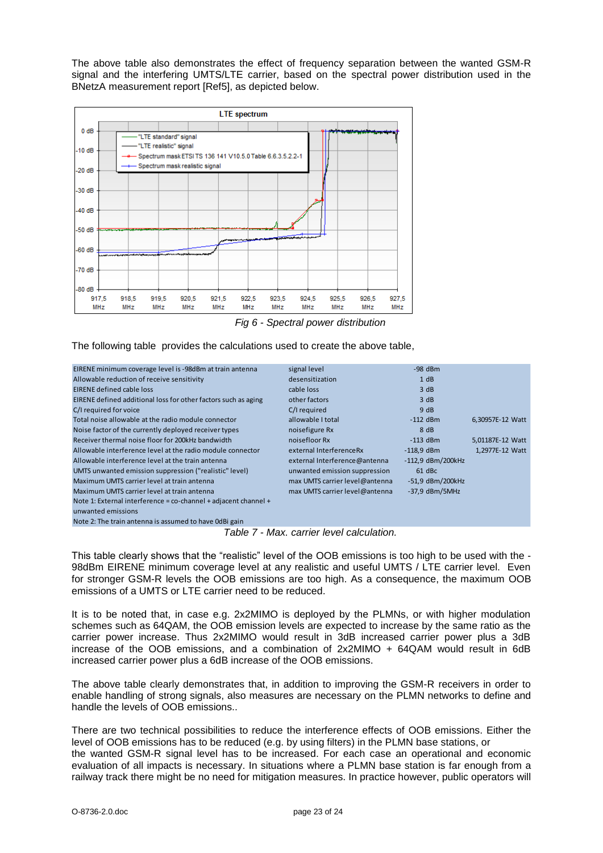The above table also demonstrates the effect of frequency separation between the wanted GSM-R signal and the interfering UMTS/LTE carrier, based on the spectral power distribution used in the BNetzA measurement report [Ref5], as depicted below.



*Fig 6 - Spectral power distribution*

The following table provides the calculations used to create the above table,

| EIRENE minimum coverage level is -98dBm at train antenna           | signal level                   | $-98$ dBm           |                  |
|--------------------------------------------------------------------|--------------------------------|---------------------|------------------|
| Allowable reduction of receive sensitivity                         | desensitization                | 1 dB                |                  |
| <b>EIRENE defined cable loss</b>                                   | cable loss                     | 3 dB                |                  |
| EIRENE defined additional loss for other factors such as aging     | other factors                  | 3 dB                |                  |
| C/I required for voice                                             | C/I required                   | 9 dB                |                  |
| Total noise allowable at the radio module connector                | allowable I total              | $-112$ dBm          | 6,30957E-12 Watt |
| Noise factor of the currently deployed receiver types              | noisefigure Rx                 | 8 dB                |                  |
| Receiver thermal noise floor for 200kHz bandwidth                  | noisefloor Rx                  | $-113$ dBm          | 5.01187E-12 Watt |
| Allowable interference level at the radio module connector         | external InterferenceRx        | $-118.9$ dBm        | 1,2977E-12 Watt  |
| Allowable interference level at the train antenna                  | external Interference@antenna  | $-112,9$ dBm/200kHz |                  |
| UMTS unwanted emission suppression ("realistic" level)             | unwanted emission suppression  | 61 dBc              |                  |
| Maximum UMTS carrier level at train antenna                        | max UMTS carrier level@antenna | -51,9 dBm/200kHz    |                  |
| Maximum UMTS carrier level at train antenna                        | max UMTS carrier level@antenna | $-37.9$ dBm/5MHz    |                  |
| Note 1: External interference = $co$ -channel + adjacent channel + |                                |                     |                  |
| unwanted emissions                                                 |                                |                     |                  |
| Note 2: The train antenna is assumed to have OdBi gain             |                                |                     |                  |

*Table 7 - Max. carrier level calculation.*

This table clearly shows that the "realistic" level of the OOB emissions is too high to be used with the - 98dBm EIRENE minimum coverage level at any realistic and useful UMTS / LTE carrier level. Even for stronger GSM-R levels the OOB emissions are too high. As a consequence, the maximum OOB emissions of a UMTS or LTE carrier need to be reduced.

It is to be noted that, in case e.g. 2x2MIMO is deployed by the PLMNs, or with higher modulation schemes such as 64QAM, the OOB emission levels are expected to increase by the same ratio as the carrier power increase. Thus 2x2MIMO would result in 3dB increased carrier power plus a 3dB increase of the OOB emissions, and a combination of 2x2MIMO + 64QAM would result in 6dB increased carrier power plus a 6dB increase of the OOB emissions.

The above table clearly demonstrates that, in addition to improving the GSM-R receivers in order to enable handling of strong signals, also measures are necessary on the PLMN networks to define and handle the levels of OOB emissions..

There are two technical possibilities to reduce the interference effects of OOB emissions. Either the level of OOB emissions has to be reduced (e.g. by using filters) in the PLMN base stations, or

the wanted GSM-R signal level has to be increased. For each case an operational and economic evaluation of all impacts is necessary. In situations where a PLMN base station is far enough from a railway track there might be no need for mitigation measures. In practice however, public operators will